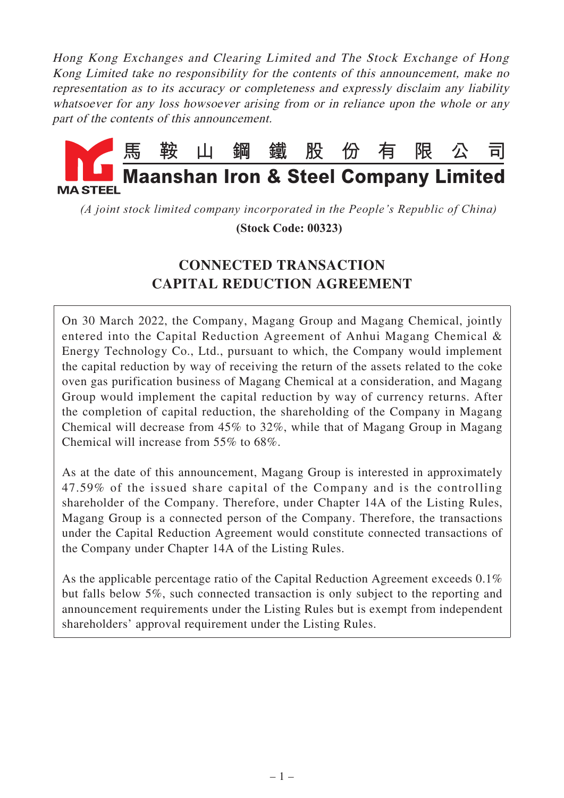Hong Kong Exchanges and Clearing Limited and The Stock Exchange of Hong Kong Limited take no responsibility for the contents of this announcement, make no representation as to its accuracy or completeness and expressly disclaim any liability whatsoever for any loss howsoever arising from or in reliance upon the whole or any part of the contents of this announcement.



*(A joint stock limited company incorporated in the People's Republic of China)*

 **(Stock Code: 00323)**

# **CONNECTED TRANSACTION CAPITAL REDUCTION AGREEMENT**

On 30 March 2022, the Company, Magang Group and Magang Chemical, jointly entered into the Capital Reduction Agreement of Anhui Magang Chemical & Energy Technology Co., Ltd., pursuant to which, the Company would implement the capital reduction by way of receiving the return of the assets related to the coke oven gas purification business of Magang Chemical at a consideration, and Magang Group would implement the capital reduction by way of currency returns. After the completion of capital reduction, the shareholding of the Company in Magang Chemical will decrease from 45% to 32%, while that of Magang Group in Magang Chemical will increase from 55% to 68%.

As at the date of this announcement, Magang Group is interested in approximately 47.59% of the issued share capital of the Company and is the controlling shareholder of the Company. Therefore, under Chapter 14A of the Listing Rules, Magang Group is a connected person of the Company. Therefore, the transactions under the Capital Reduction Agreement would constitute connected transactions of the Company under Chapter 14A of the Listing Rules.

As the applicable percentage ratio of the Capital Reduction Agreement exceeds 0.1% but falls below 5%, such connected transaction is only subject to the reporting and announcement requirements under the Listing Rules but is exempt from independent shareholders' approval requirement under the Listing Rules.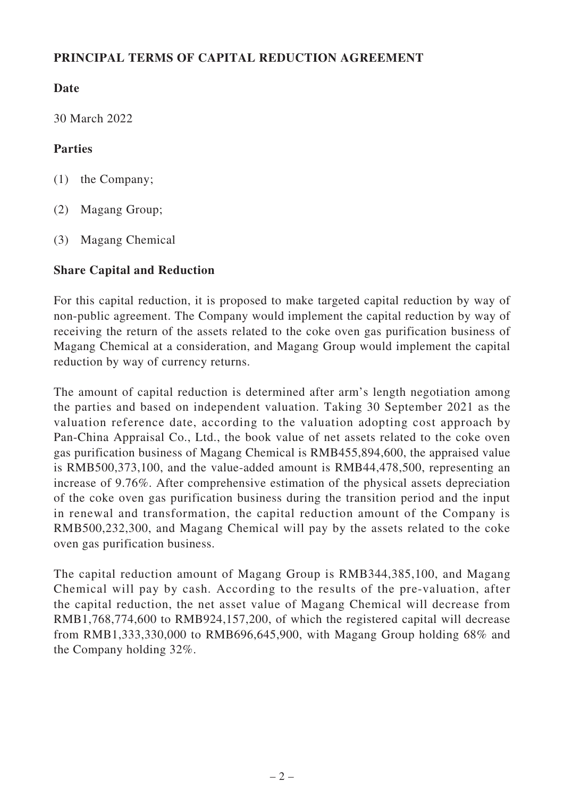## **PRINCIPAL TERMS OF CAPITAL REDUCTION AGREEMENT**

## **Date**

30 March 2022

## **Parties**

- (1) the Company;
- (2) Magang Group;
- (3) Magang Chemical

## **Share Capital and Reduction**

For this capital reduction, it is proposed to make targeted capital reduction by way of non-public agreement. The Company would implement the capital reduction by way of receiving the return of the assets related to the coke oven gas purification business of Magang Chemical at a consideration, and Magang Group would implement the capital reduction by way of currency returns.

The amount of capital reduction is determined after arm's length negotiation among the parties and based on independent valuation. Taking 30 September 2021 as the valuation reference date, according to the valuation adopting cost approach by Pan-China Appraisal Co., Ltd., the book value of net assets related to the coke oven gas purification business of Magang Chemical is RMB455,894,600, the appraised value is RMB500,373,100, and the value-added amount is RMB44,478,500, representing an increase of 9.76%. After comprehensive estimation of the physical assets depreciation of the coke oven gas purification business during the transition period and the input in renewal and transformation, the capital reduction amount of the Company is RMB500,232,300, and Magang Chemical will pay by the assets related to the coke oven gas purification business.

The capital reduction amount of Magang Group is RMB344,385,100, and Magang Chemical will pay by cash. According to the results of the pre-valuation, after the capital reduction, the net asset value of Magang Chemical will decrease from RMB1,768,774,600 to RMB924,157,200, of which the registered capital will decrease from RMB1,333,330,000 to RMB696,645,900, with Magang Group holding 68% and the Company holding 32%.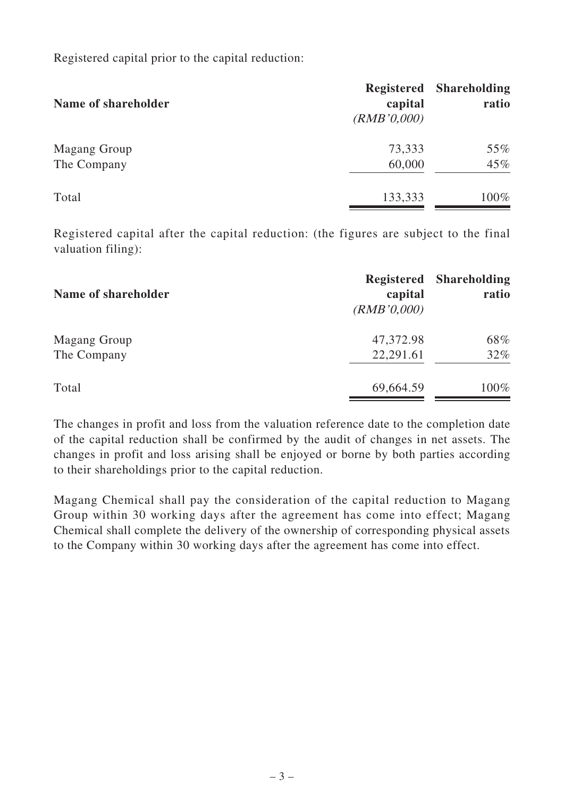Registered capital prior to the capital reduction:

| Name of shareholder | Registered<br>capital<br>(RMB'0,000) | <b>Shareholding</b><br>ratio |
|---------------------|--------------------------------------|------------------------------|
| Magang Group        | 73,333                               | 55%                          |
| The Company         | 60,000                               | 45%                          |
| Total               | 133,333                              | 100%                         |

Registered capital after the capital reduction: (the figures are subject to the final valuation filing):

| Name of shareholder | <b>Registered</b><br>capital<br>(RMB'0,000) | <b>Shareholding</b><br>ratio |
|---------------------|---------------------------------------------|------------------------------|
| Magang Group        | 47,372.98                                   | 68%                          |
| The Company         | 22,291.61                                   | $32\%$                       |
| Total               | 69,664.59                                   | 100%                         |

The changes in profit and loss from the valuation reference date to the completion date of the capital reduction shall be confirmed by the audit of changes in net assets. The changes in profit and loss arising shall be enjoyed or borne by both parties according to their shareholdings prior to the capital reduction.

Magang Chemical shall pay the consideration of the capital reduction to Magang Group within 30 working days after the agreement has come into effect; Magang Chemical shall complete the delivery of the ownership of corresponding physical assets to the Company within 30 working days after the agreement has come into effect.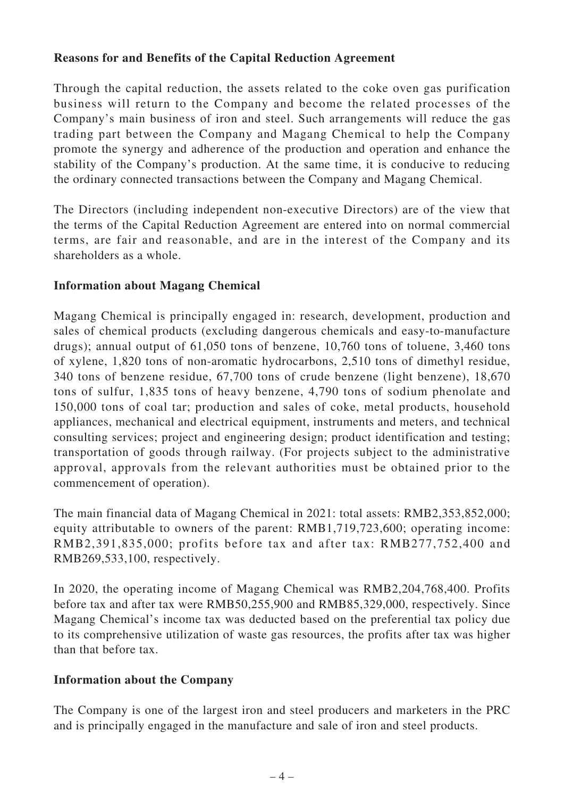#### **Reasons for and Benefits of the Capital Reduction Agreement**

Through the capital reduction, the assets related to the coke oven gas purification business will return to the Company and become the related processes of the Company's main business of iron and steel. Such arrangements will reduce the gas trading part between the Company and Magang Chemical to help the Company promote the synergy and adherence of the production and operation and enhance the stability of the Company's production. At the same time, it is conducive to reducing the ordinary connected transactions between the Company and Magang Chemical.

The Directors (including independent non-executive Directors) are of the view that the terms of the Capital Reduction Agreement are entered into on normal commercial terms, are fair and reasonable, and are in the interest of the Company and its shareholders as a whole.

#### **Information about Magang Chemical**

Magang Chemical is principally engaged in: research, development, production and sales of chemical products (excluding dangerous chemicals and easy-to-manufacture drugs); annual output of 61,050 tons of benzene, 10,760 tons of toluene, 3,460 tons of xylene, 1,820 tons of non-aromatic hydrocarbons, 2,510 tons of dimethyl residue, 340 tons of benzene residue, 67,700 tons of crude benzene (light benzene), 18,670 tons of sulfur, 1,835 tons of heavy benzene, 4,790 tons of sodium phenolate and 150,000 tons of coal tar; production and sales of coke, metal products, household appliances, mechanical and electrical equipment, instruments and meters, and technical consulting services; project and engineering design; product identification and testing; transportation of goods through railway. (For projects subject to the administrative approval, approvals from the relevant authorities must be obtained prior to the commencement of operation).

The main financial data of Magang Chemical in 2021: total assets: RMB2,353,852,000; equity attributable to owners of the parent: RMB1,719,723,600; operating income: RMB2,391,835,000; profits before tax and after tax: RMB277,752,400 and RMB269,533,100, respectively.

In 2020, the operating income of Magang Chemical was RMB2,204,768,400. Profits before tax and after tax were RMB50,255,900 and RMB85,329,000, respectively. Since Magang Chemical's income tax was deducted based on the preferential tax policy due to its comprehensive utilization of waste gas resources, the profits after tax was higher than that before tax.

## **Information about the Company**

The Company is one of the largest iron and steel producers and marketers in the PRC and is principally engaged in the manufacture and sale of iron and steel products.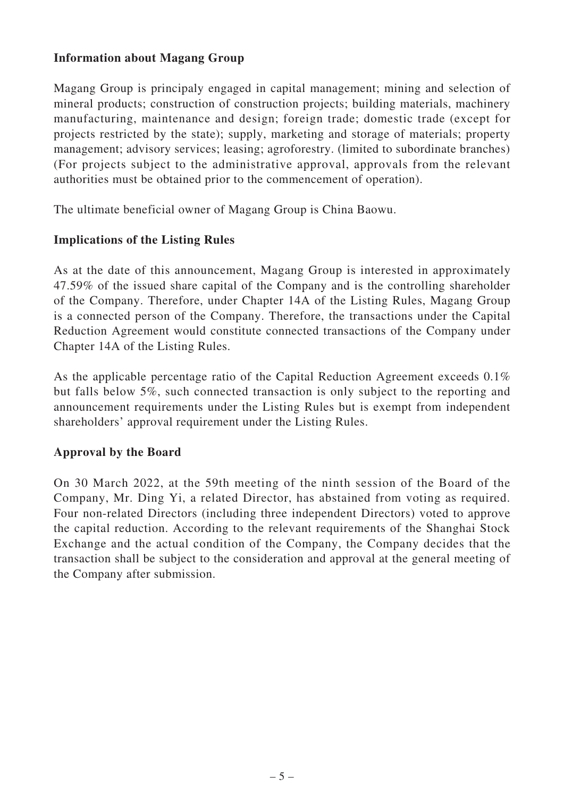#### **Information about Magang Group**

Magang Group is principaly engaged in capital management; mining and selection of mineral products; construction of construction projects; building materials, machinery manufacturing, maintenance and design; foreign trade; domestic trade (except for projects restricted by the state); supply, marketing and storage of materials; property management; advisory services; leasing; agroforestry. (limited to subordinate branches) (For projects subject to the administrative approval, approvals from the relevant authorities must be obtained prior to the commencement of operation).

The ultimate beneficial owner of Magang Group is China Baowu.

#### **Implications of the Listing Rules**

As at the date of this announcement, Magang Group is interested in approximately 47.59% of the issued share capital of the Company and is the controlling shareholder of the Company. Therefore, under Chapter 14A of the Listing Rules, Magang Group is a connected person of the Company. Therefore, the transactions under the Capital Reduction Agreement would constitute connected transactions of the Company under Chapter 14A of the Listing Rules.

As the applicable percentage ratio of the Capital Reduction Agreement exceeds 0.1% but falls below 5%, such connected transaction is only subject to the reporting and announcement requirements under the Listing Rules but is exempt from independent shareholders' approval requirement under the Listing Rules.

## **Approval by the Board**

On 30 March 2022, at the 59th meeting of the ninth session of the Board of the Company, Mr. Ding Yi, a related Director, has abstained from voting as required. Four non-related Directors (including three independent Directors) voted to approve the capital reduction. According to the relevant requirements of the Shanghai Stock Exchange and the actual condition of the Company, the Company decides that the transaction shall be subject to the consideration and approval at the general meeting of the Company after submission.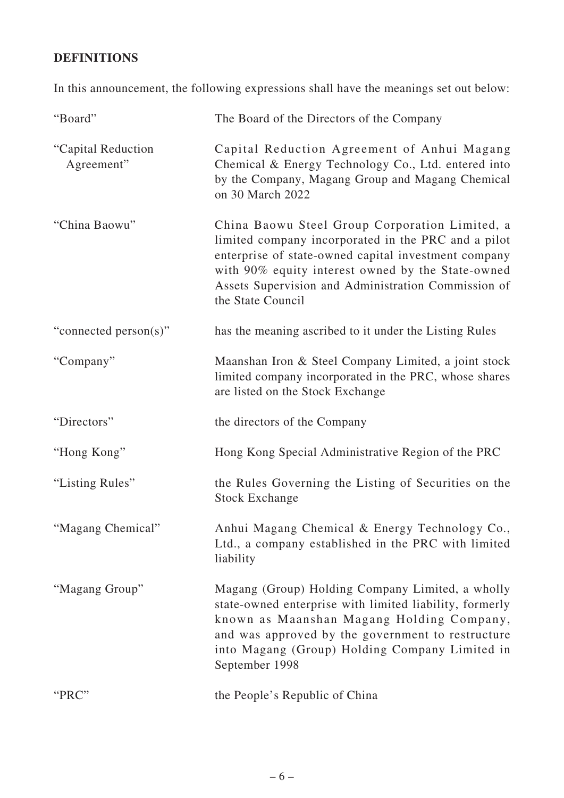## **DEFINITIONS**

In this announcement, the following expressions shall have the meanings set out below:

| "Board"                          | The Board of the Directors of the Company                                                                                                                                                                                                                                                      |
|----------------------------------|------------------------------------------------------------------------------------------------------------------------------------------------------------------------------------------------------------------------------------------------------------------------------------------------|
| "Capital Reduction<br>Agreement" | Capital Reduction Agreement of Anhui Magang<br>Chemical & Energy Technology Co., Ltd. entered into<br>by the Company, Magang Group and Magang Chemical<br>on 30 March 2022                                                                                                                     |
| "China Baowu"                    | China Baowu Steel Group Corporation Limited, a<br>limited company incorporated in the PRC and a pilot<br>enterprise of state-owned capital investment company<br>with 90% equity interest owned by the State-owned<br>Assets Supervision and Administration Commission of<br>the State Council |
| "connected person(s)"            | has the meaning ascribed to it under the Listing Rules                                                                                                                                                                                                                                         |
| "Company"                        | Maanshan Iron & Steel Company Limited, a joint stock<br>limited company incorporated in the PRC, whose shares<br>are listed on the Stock Exchange                                                                                                                                              |
| "Directors"                      | the directors of the Company                                                                                                                                                                                                                                                                   |
| "Hong Kong"                      | Hong Kong Special Administrative Region of the PRC                                                                                                                                                                                                                                             |
| "Listing Rules"                  | the Rules Governing the Listing of Securities on the<br><b>Stock Exchange</b>                                                                                                                                                                                                                  |
| "Magang Chemical"                | Anhui Magang Chemical & Energy Technology Co.,<br>Ltd., a company established in the PRC with limited<br>liability                                                                                                                                                                             |
| "Magang Group"                   | Magang (Group) Holding Company Limited, a wholly<br>state-owned enterprise with limited liability, formerly<br>known as Maanshan Magang Holding Company,<br>and was approved by the government to restructure<br>into Magang (Group) Holding Company Limited in<br>September 1998              |
| "PRC"                            | the People's Republic of China                                                                                                                                                                                                                                                                 |